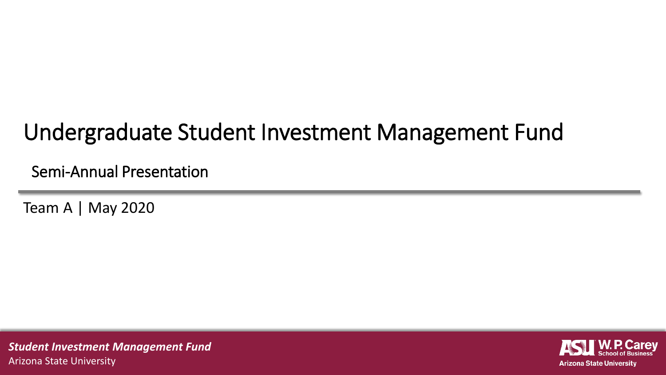#### Undergraduate Student Investment Management Fund

Semi-Annual Presentation

Team A | May 2020

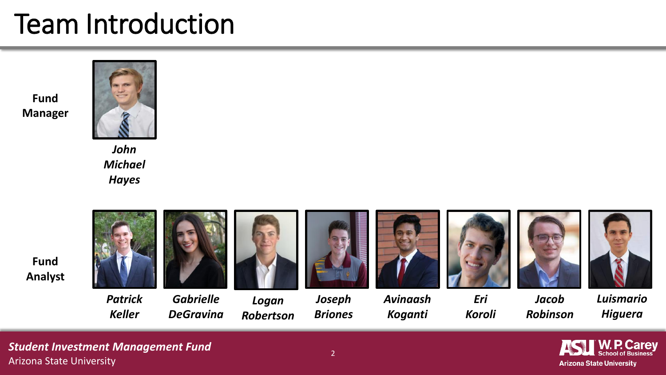#### Team Introduction

**Fund Manager**



*John Michael Hayes*

**Fund Analyst**



*Patrick Keller*

*Gabrielle DeGravina*



*Briones*









*Eri* 







*Jacob Robinson*

*Luismario Higuera* 

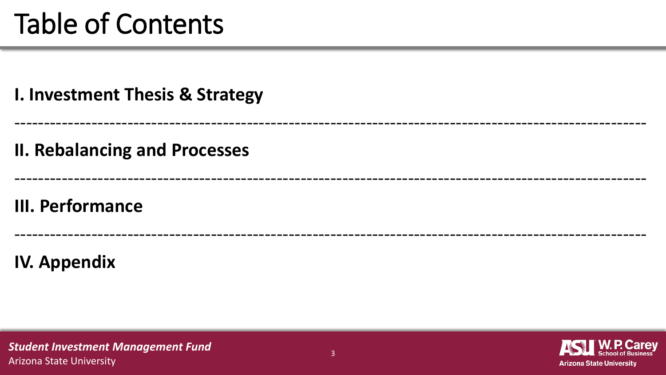#### Table of Contents

**I. Investment Thesis & Strategy**

**II. Rebalancing and Processes** 

**III. Performance**

**IV. Appendix**



----------------------------------------------------------------------------------------------------------

----------------------------------------------------------------------------------------------------------

----------------------------------------------------------------------------------------------------------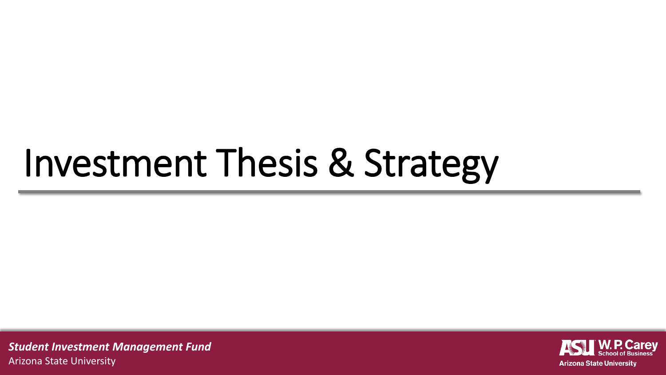## Investment Thesis & Strategy

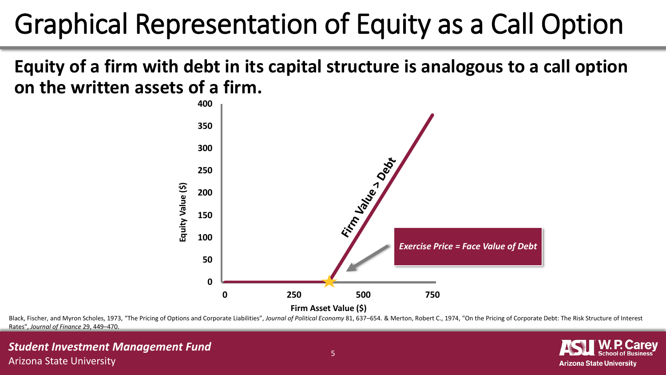### Graphical Representation of Equity as a Call Option

**Equity of a firm with debt in its capital structure is analogous to a call option on the written assets of a firm.**



Black, Fischer, and Myron Scholes, 1973, "The Pricing of Options and Corporate Liabilities", Journal of Political Economy 81, 637-654. & Merton, Robert C., 1974, "On the Pricing of Corporate Debt: The Risk Structure of Int Rates", *Journal of Finance* 29, 449–470.

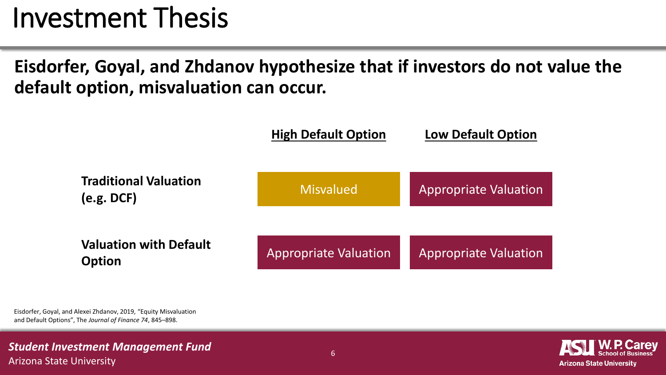#### Investment Thesis

**Eisdorfer, Goyal, and Zhdanov hypothesize that if investors do not value the default option, misvaluation can occur.**



Eisdorfer, Goyal, and Alexei Zhdanov, 2019, "Equity Misvaluation and Default Options", The *Journal of Finance 74*, 845–898.

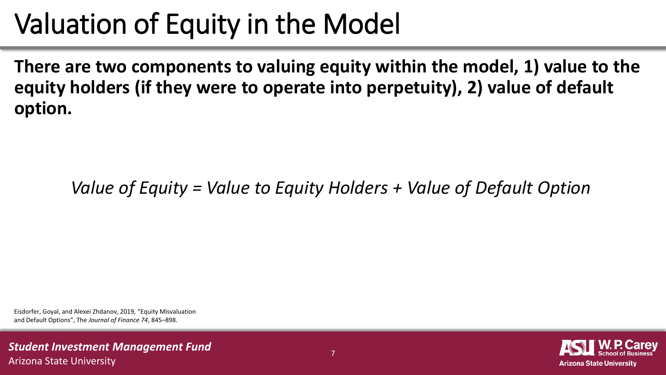### Valuation of Equity in the Model

**There are two components to valuing equity within the model, 1) value to the equity holders (if they were to operate into perpetuity), 2) value of default option.**

*Value of Equity = Value to Equity Holders + Value of Default Option*

Eisdorfer, Goyal, and Alexei Zhdanov, 2019, "Equity Misvaluation and Default Options", The *Journal of Finance 74*, 845–898.

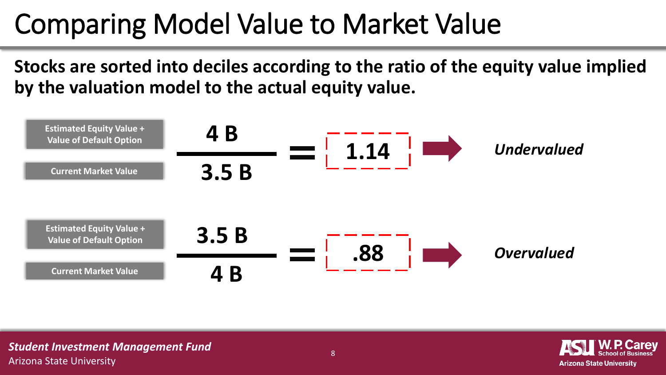### Comparing Model Value to Market Value

**Stocks are sorted into deciles according to the ratio of the equity value implied by the valuation model to the actual equity value.**



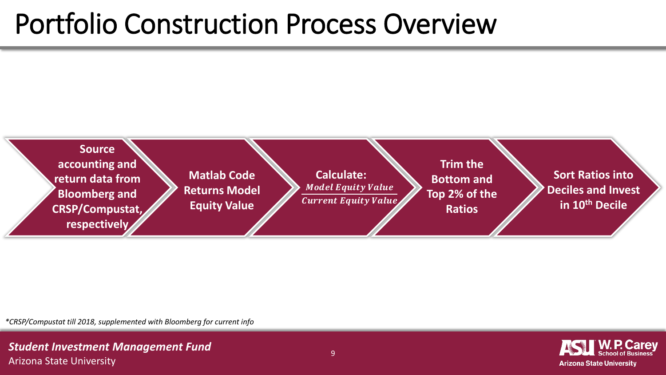#### Portfolio Construction Process Overview



*\*CRSP/Compustat till 2018, supplemented with Bloomberg for current info*

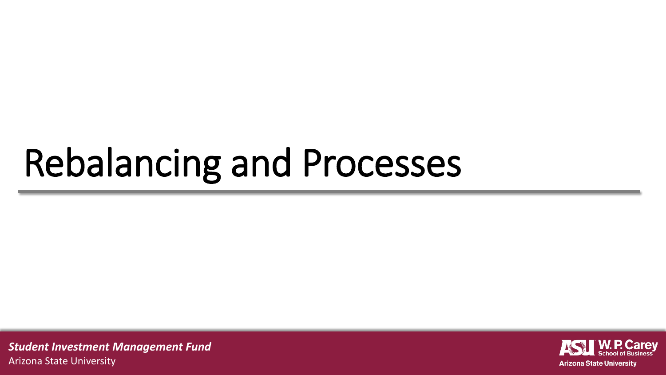# Rebalancing and Processes

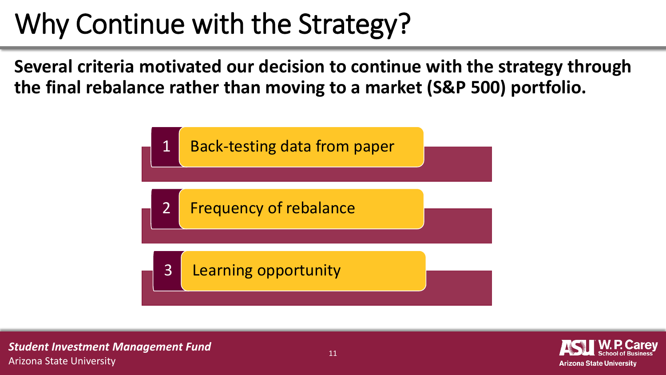### Why Continue with the Strategy?

**Several criteria motivated our decision to continue with the strategy through the final rebalance rather than moving to a market (S&P 500) portfolio.**



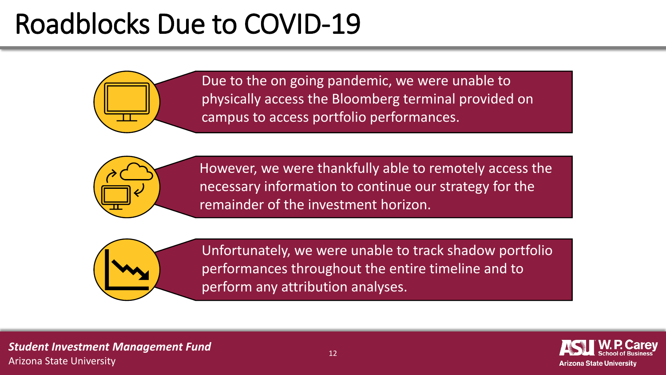#### Roadblocks Due to COVID-19



Due to the on going pandemic, we were unable to physically access the Bloomberg terminal provided on campus to access portfolio performances.



However, we were thankfully able to remotely access the necessary information to continue our strategy for the remainder of the investment horizon.



Unfortunately, we were unable to track shadow portfolio performances throughout the entire timeline and to perform any attribution analyses.

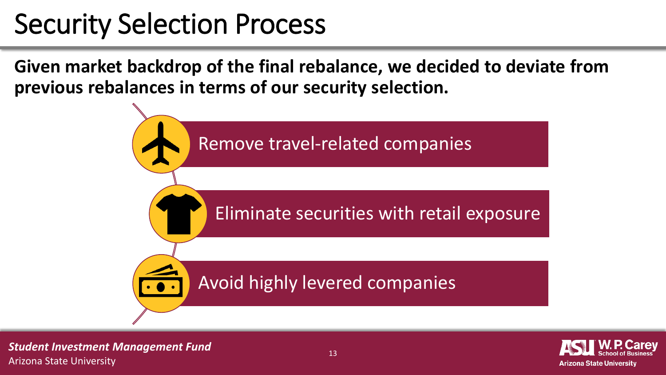#### Security Selection Process

**Given market backdrop of the final rebalance, we decided to deviate from previous rebalances in terms of our security selection.**



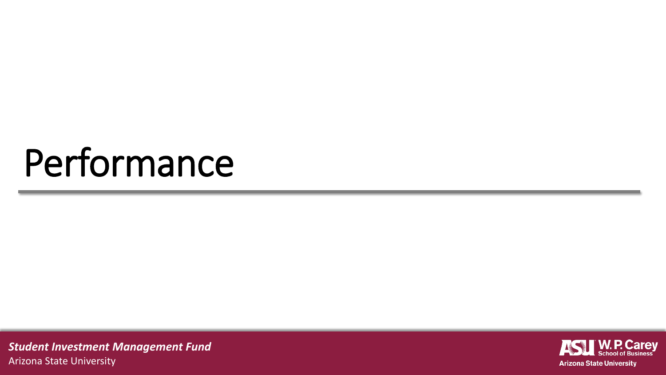### Performance

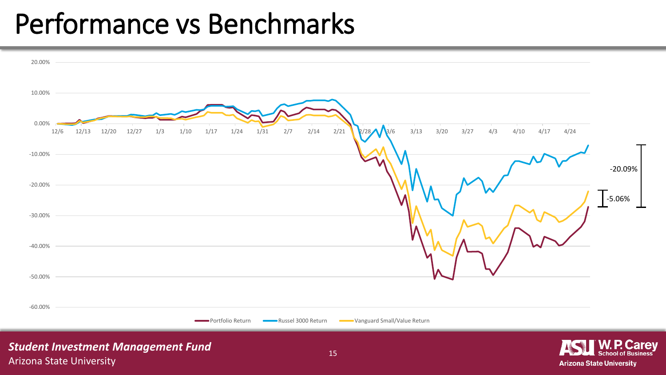#### Performance vs Benchmarks



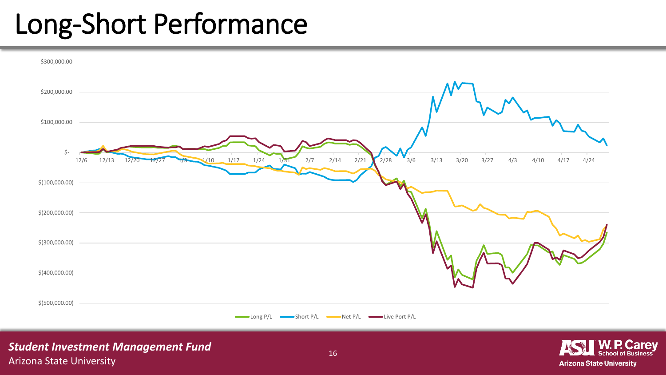#### Long-Short Performance

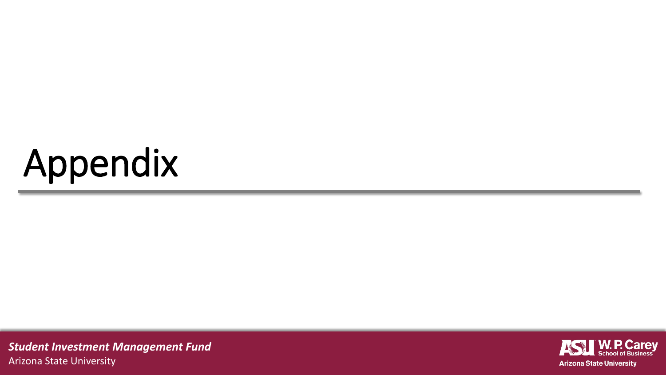# Appendix

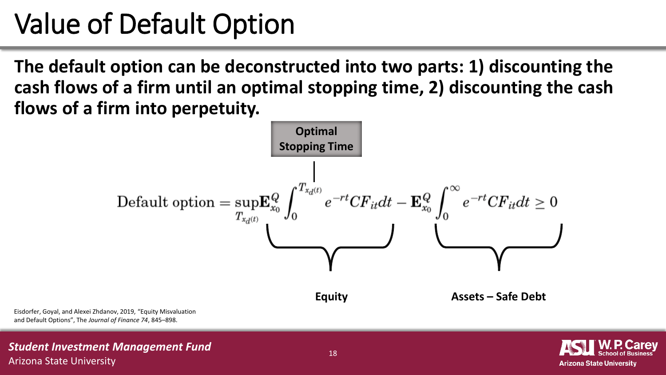#### Value of Default Option

**The default option can be deconstructed into two parts: 1) discounting the cash flows of a firm until an optimal stopping time, 2) discounting the cash flows of a firm into perpetuity.**



Eisdorfer, Goyal, and Alexei Zhdanov, 2019, "Equity Misvaluation and Default Options", The *Journal of Finance 74*, 845–898.

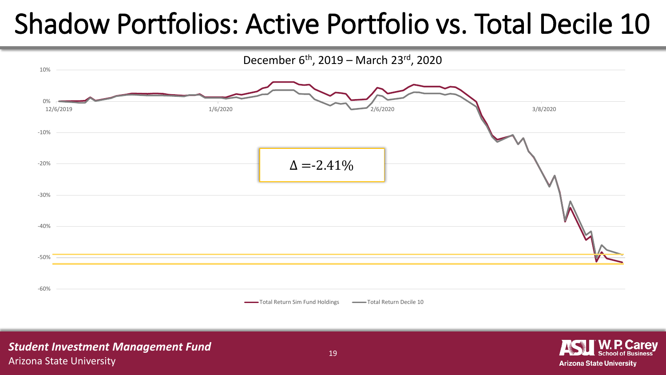### Shadow Portfolios: Active Portfolio vs. Total Decile 10